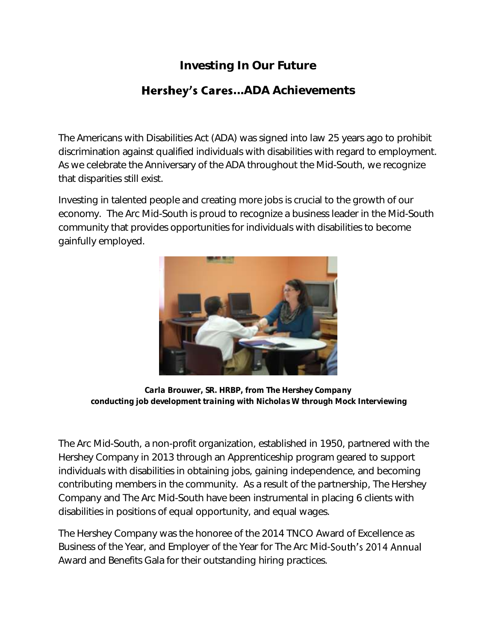## **Investing In Our Future**

## **Hershey's Cares...ADA Achievements**

The Americans with Disabilities Act (ADA) was signed into law 25 years ago to prohibit discrimination against qualified individuals with disabilities with regard to employment. As we celebrate the Anniversary of the ADA throughout the Mid-South, we recognize that disparities still exist.

Investing in talented people and creating more jobs is crucial to the growth of our economy. The Arc Mid-South is proud to recognize a business leader in the Mid-South community that provides opportunities for individuals with disabilities to become gainfully employed.



*Carla Brouwer, SR. HRBP, from The Hershey Company conducting job development training with Nicholas W through Mock Interviewing*

The Arc Mid-South, a non-profit organization, established in 1950, partnered with the Hershey Company in 2013 through an Apprenticeship program geared to support individuals with disabilities in obtaining jobs, gaining independence, and becoming contributing members in the community. As a result of the partnership, The Hershey Company and The Arc Mid-South have been instrumental in placing 6 clients with disabilities in positions of equal opportunity, and equal wages.

The Hershey Company was the honoree of the 2014 TNCO Award of Excellence as Business of the Year, and Employer of the Year for The Arc Mid-South's 2014 Annual Award and Benefits Gala for their outstanding hiring practices.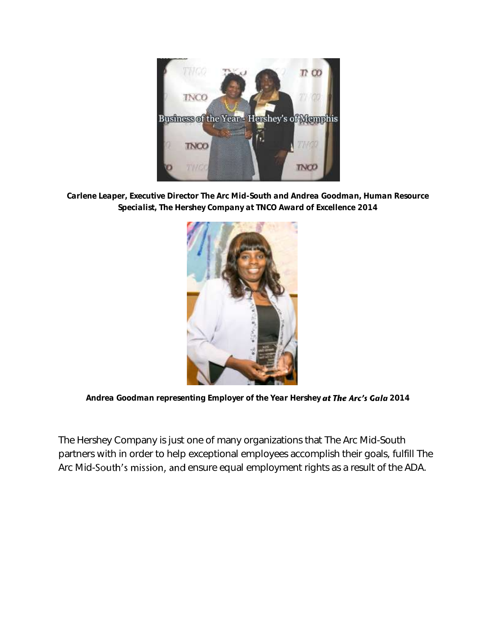

*Carlene Leaper, Executive Director The Arc Mid-South and Andrea Goodman, Human Resource Specialist, The Hershey Company at TNCO Award of Excellence 2014*



Andrea Goodman representing Employer of the Year Hershey at The Arc's Gala 2014

The Hershey Company is just one of many organizations that The Arc Mid-South partners with in order to help exceptional employees accomplish their goals, fulfill The Arc Mid-South's mission, and ensure equal employment rights as a result of the ADA.